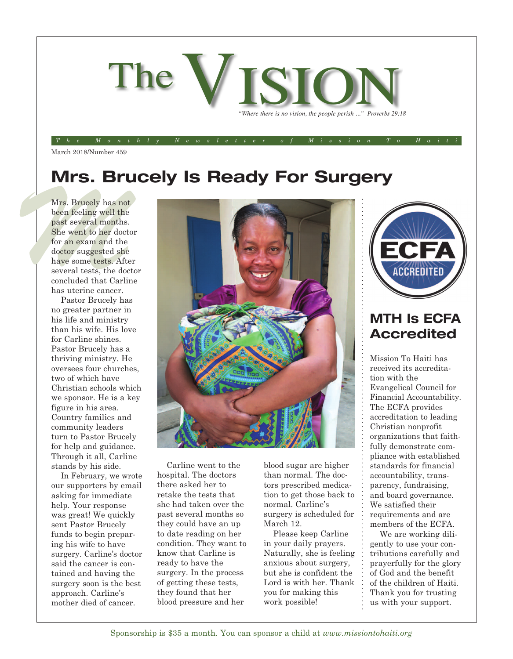

The Monthly Newsletter of Mission To Haiti

March 2018/Number 459

## **Mrs. Brucely Is Ready For Surgery**

Mrs. Brucely has not<br>been feeling well the<br>past several months.<br>She went to her doctor<br>for an exam and the<br>doctor suggested she<br>have some tests. After Mrs. Brucely has not been feeling well the past several months. She went to her doctor for an exam and the doctor suggested she have some tests. After several tests, the doctor concluded that Carline has uterine cancer.

Pastor Brucely has no greater partner in his life and ministry than his wife. His love for Carline shines. Pastor Brucely has a thriving ministry. He oversees four churches, two of which have Christian schools which we sponsor. He is a key figure in his area. Country families and community leaders turn to Pastor Brucely for help and guidance. Through it all, Carline stands by his side.

In February, we wrote our supporters by email asking for immediate help. Your response was great! We quickly sent Pastor Brucely funds to begin preparing his wife to have surgery. Carline's doctor said the cancer is contained and having the surgery soon is the best approach. Carline's mother died of cancer.



Carline went to the hospital. The doctors there asked her to retake the tests that she had taken over the past several months so they could have an up to date reading on her condition. They want to know that Carline is ready to have the surgery. In the process of getting these tests, they found that her blood pressure and her

blood sugar are higher than normal. The doctors prescribed medication to get those back to normal. Carline's surgery is scheduled for March 12.

Please keep Carline in your daily prayers. Naturally, she is feeling anxious about surgery, but she is confident the Lord is with her. Thank you for making this work possible!



### **MTH Is ECFA Accredited**

Mission To Haiti has received its accreditation with the Evangelical Council for Financial Accountability. The ECFA provides accreditation to leading Christian nonprofit organizations that faithfully demonstrate compliance with established standards for financial accountability, transparency, fundraising, and board governance. We satisfied their requirements and are members of the ECFA.

We are working diligently to use your contributions carefully and prayerfully for the glory of God and the benefit of the children of Haiti. Thank you for trusting us with your support.